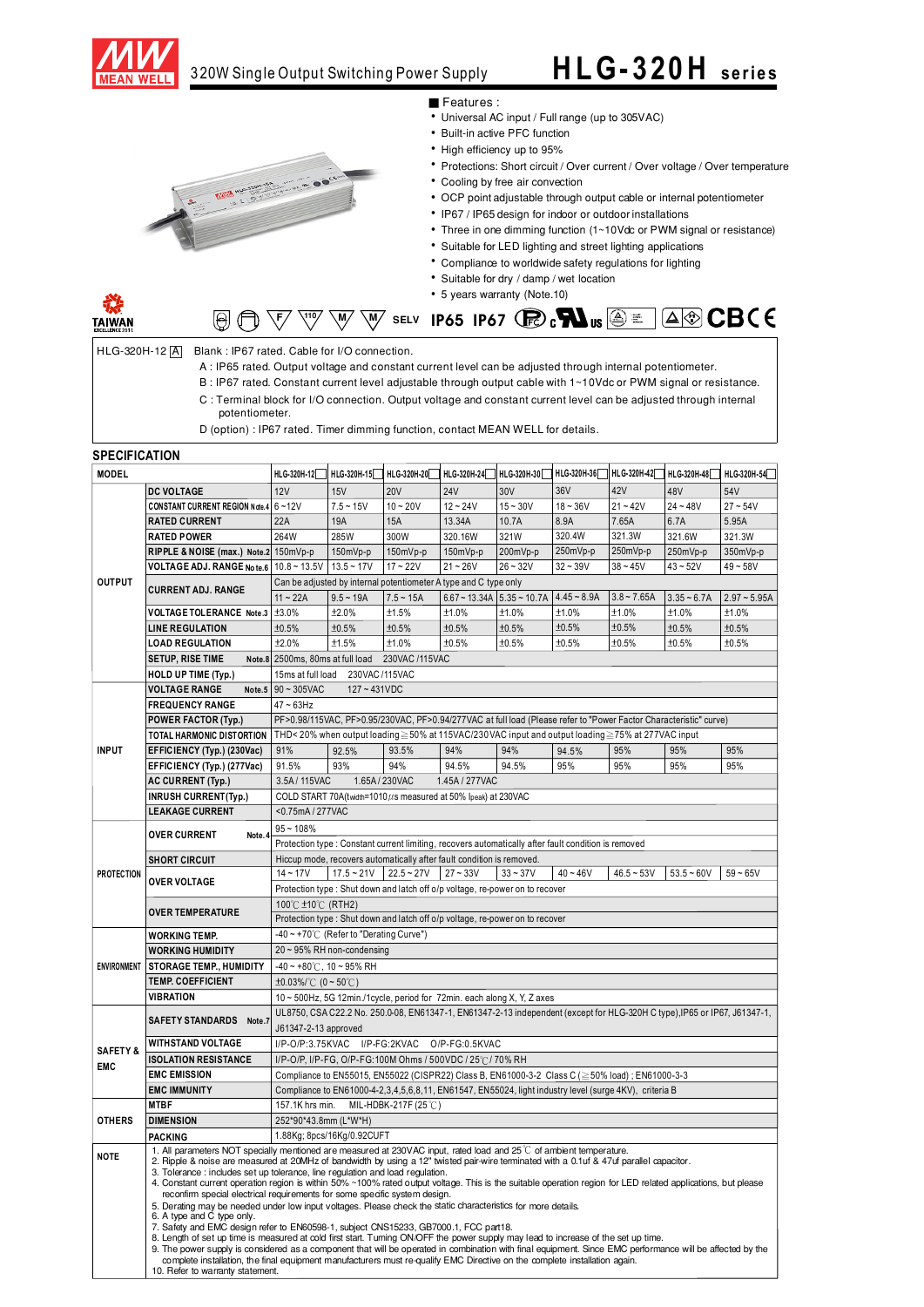

## 3 20W Single Output Switching Power Supply

## **HL G- 320 H se r ie s**



#### Features:

- Universal AC input / Full range (up to 305VAC)
- Built-in active PFC function
- High efficiency up to 95%
- Protections: Short circuit / Over current / Over voltage / Over temperature
- Cooling by free air convection
- OCP point adjustable through output cable or internal potentiometer
- IP67 / IP65 design for indoor or outdoor installations
- Three in one dimming function (1~10Vdc or PWM signal or resistance)
- Suitable for LED lighting and street lighting applications
- Compliance to worldwide safety regulations for lighting
- Suitable for dry / damp / wet location
- 5 years warranty (Note.10)



### **AOCBCE**  $\overline{\mathbb{W}}$   $\overline{\mathbb{W}}$  selv **IP65 IP67** ( $\overline{\mathbb{R}}$ ) c $\overline{\mathbf{M}}$ us  $\textcircled{\scriptsize{\textcircled{\#}}}$

HLG-320H-12 A Blank: IP67 rated. Cable for I/O connection.

- A : IP65 rated. Output voltage and constant current level can be adjusted through internal potentiometer.
- B: IP67 rated. Constant current level adjustable through output cable with 1~10Vdc or PWM signal or resistance.
- C: Terminal block for I/O connection. Output voltage and constant current level can be adjusted through internal potentiometer.
- D (option) : IP67 rated. Timer dimming function, contact MEAN WELL for details.

#### **SPECIFICATION**

| <b>MODEL</b>                      |                                                                                                                                                                                                                                                                                                                                                                                                                                                                              |                                                                                                                                                                                                                                                                  | HLG-320H-12 HLG-320H-15 HLG-320H-20                                                            |              | HLG-320H-24    HLG-320H-30                                                    |                | HLG-320H-36   | HLG-320H-42 HLG-320H-48 HLG-320H-54 |               |                |
|-----------------------------------|------------------------------------------------------------------------------------------------------------------------------------------------------------------------------------------------------------------------------------------------------------------------------------------------------------------------------------------------------------------------------------------------------------------------------------------------------------------------------|------------------------------------------------------------------------------------------------------------------------------------------------------------------------------------------------------------------------------------------------------------------|------------------------------------------------------------------------------------------------|--------------|-------------------------------------------------------------------------------|----------------|---------------|-------------------------------------|---------------|----------------|
|                                   | <b>DC VOLTAGE</b>                                                                                                                                                                                                                                                                                                                                                                                                                                                            | 12V                                                                                                                                                                                                                                                              | 15V                                                                                            | <b>20V</b>   | <b>24V</b>                                                                    | 30V            | 36V           | 42V                                 | 48V           | 54V            |
| <b>OUTPUT</b>                     | <b>CONSTANT CURRENT REGION Note.4</b>                                                                                                                                                                                                                                                                                                                                                                                                                                        | $6 - 12V$                                                                                                                                                                                                                                                        | $7.5 - 15V$                                                                                    | $10 - 20V$   | $12 - 24V$                                                                    | $15 - 30V$     | $18 - 36V$    | $21 - 42V$                          | $24 - 48V$    | $27 - 54V$     |
|                                   | <b>RATED CURRENT</b>                                                                                                                                                                                                                                                                                                                                                                                                                                                         | 22A                                                                                                                                                                                                                                                              | 19A                                                                                            | <b>15A</b>   | 13.34A                                                                        | 10.7A          | 8.9A          | 7.65A                               | 6.7A          | 5.95A          |
|                                   | <b>RATED POWER</b>                                                                                                                                                                                                                                                                                                                                                                                                                                                           | 264W                                                                                                                                                                                                                                                             | 285W                                                                                           | 300W         | 320.16W                                                                       | 321W           | 320.4W        | 321.3W                              | 321.6W        | 321.3W         |
|                                   | RIPPLE & NOISE (max.) Note.2                                                                                                                                                                                                                                                                                                                                                                                                                                                 | 150mVp-p                                                                                                                                                                                                                                                         | $150mVp-p$                                                                                     | $150mVp-p$   | 150mVp-p                                                                      | 200mVp-p       | 250mVp-p      | 250mVp-p                            | 250mVp-p      | 350mVp-p       |
|                                   | VOLTAGE ADJ. RANGE Note.6                                                                                                                                                                                                                                                                                                                                                                                                                                                    | $10.8 - 13.5V$                                                                                                                                                                                                                                                   | $13.5 - 17V$                                                                                   | $17 - 22V$   | $21 - 26V$                                                                    | $26 - 32V$     | $32 - 39V$    | $38 - 45V$                          | $43 - 52V$    | $49 - 58V$     |
|                                   | <b>CURRENT ADJ. RANGE</b>                                                                                                                                                                                                                                                                                                                                                                                                                                                    | Can be adjusted by internal potentiometer A type and C type only                                                                                                                                                                                                 |                                                                                                |              |                                                                               |                |               |                                     |               |                |
|                                   |                                                                                                                                                                                                                                                                                                                                                                                                                                                                              | $11 - 22A$                                                                                                                                                                                                                                                       | $9.5 - 19A$                                                                                    | $7.5 - 15A$  | $6.67 - 13.34A$                                                               | $5.35 - 10.7A$ | $4.45 - 8.9A$ | $3.8 - 7.65A$                       | $3.35 - 6.7A$ | $2.97 - 5.95A$ |
|                                   | VOLTAGE TOLERANCE Note.3                                                                                                                                                                                                                                                                                                                                                                                                                                                     | ±3.0%                                                                                                                                                                                                                                                            | ±2.0%                                                                                          | ±1.5%        | ±1.0%                                                                         | ±1.0%          | ±1.0%         | ±1.0%                               | ±1.0%         | ±1.0%          |
|                                   | <b>LINE REGULATION</b>                                                                                                                                                                                                                                                                                                                                                                                                                                                       | ±0.5%                                                                                                                                                                                                                                                            | ±0.5%                                                                                          | ±0.5%        | ±0.5%                                                                         | ±0.5%          | ±0.5%         | ±0.5%                               | ±0.5%         | ±0.5%          |
|                                   | <b>LOAD REGULATION</b>                                                                                                                                                                                                                                                                                                                                                                                                                                                       | ±2.0%                                                                                                                                                                                                                                                            | ±1.5%                                                                                          | ±1.0%        | ±0.5%                                                                         | ±0.5%          | ±0.5%         | ±0.5%                               | ±0.5%         | ±0.5%          |
|                                   | SETUP, RISE TIME                                                                                                                                                                                                                                                                                                                                                                                                                                                             |                                                                                                                                                                                                                                                                  | Note.8 2500ms, 80ms at full load<br>230VAC /115VAC                                             |              |                                                                               |                |               |                                     |               |                |
|                                   | HOLD UP TIME (Typ.)                                                                                                                                                                                                                                                                                                                                                                                                                                                          | 15ms at full load<br>230VAC/115VAC                                                                                                                                                                                                                               |                                                                                                |              |                                                                               |                |               |                                     |               |                |
|                                   | <b>VOLTAGE RANGE</b><br>Note.5                                                                                                                                                                                                                                                                                                                                                                                                                                               | $90 - 305$ VAC<br>$127 - 431VDC$                                                                                                                                                                                                                                 |                                                                                                |              |                                                                               |                |               |                                     |               |                |
| <b>INPUT</b>                      | <b>FREQUENCY RANGE</b>                                                                                                                                                                                                                                                                                                                                                                                                                                                       | $47 - 63$ Hz                                                                                                                                                                                                                                                     |                                                                                                |              |                                                                               |                |               |                                     |               |                |
|                                   | <b>POWER FACTOR (Typ.)</b>                                                                                                                                                                                                                                                                                                                                                                                                                                                   | PF>0.98/115VAC, PF>0.95/230VAC, PF>0.94/277VAC at full load (Please refer to "Power Factor Characteristic" curve)                                                                                                                                                |                                                                                                |              |                                                                               |                |               |                                     |               |                |
|                                   | TOTAL HARMONIC DISTORTION                                                                                                                                                                                                                                                                                                                                                                                                                                                    | THD< 20% when output loading ≥ 50% at 115VAC/230VAC input and output loading ≥75% at 277VAC input                                                                                                                                                                |                                                                                                |              |                                                                               |                |               |                                     |               |                |
|                                   | EFFICIENCY (Typ.) (230Vac)                                                                                                                                                                                                                                                                                                                                                                                                                                                   | 91%                                                                                                                                                                                                                                                              | 92.5%                                                                                          | 93.5%        | 94%                                                                           | 94%            | 94.5%         | 95%                                 | 95%           | 95%            |
|                                   | EFFICIENCY (Typ.) (277Vac)                                                                                                                                                                                                                                                                                                                                                                                                                                                   | 91.5%                                                                                                                                                                                                                                                            | 93%                                                                                            | 94%          | 94.5%                                                                         | 94.5%          | 95%           | 95%                                 | 95%           | 95%            |
|                                   | <b>AC CURRENT (Typ.)</b>                                                                                                                                                                                                                                                                                                                                                                                                                                                     | 3.5A/115VAC                                                                                                                                                                                                                                                      |                                                                                                | 1.65A/230VAC | 1.45A / 277VAC                                                                |                |               |                                     |               |                |
|                                   | <b>INRUSH CURRENT(Typ.)</b>                                                                                                                                                                                                                                                                                                                                                                                                                                                  | COLD START 70A(twidth=1010µs measured at 50% lpeak) at 230VAC                                                                                                                                                                                                    |                                                                                                |              |                                                                               |                |               |                                     |               |                |
|                                   | <b>LEAKAGE CURRENT</b>                                                                                                                                                                                                                                                                                                                                                                                                                                                       | <0.75mA / 277VAC                                                                                                                                                                                                                                                 |                                                                                                |              |                                                                               |                |               |                                     |               |                |
| <b>PROTECTION</b>                 | <b>OVER CURRENT</b><br>Note.                                                                                                                                                                                                                                                                                                                                                                                                                                                 | $95 - 108%$                                                                                                                                                                                                                                                      |                                                                                                |              |                                                                               |                |               |                                     |               |                |
|                                   |                                                                                                                                                                                                                                                                                                                                                                                                                                                                              | Protection type : Constant current limiting, recovers automatically after fault condition is removed                                                                                                                                                             |                                                                                                |              |                                                                               |                |               |                                     |               |                |
|                                   | <b>SHORT CIRCUIT</b>                                                                                                                                                                                                                                                                                                                                                                                                                                                         | Hiccup mode, recovers automatically after fault condition is removed.                                                                                                                                                                                            |                                                                                                |              |                                                                               |                |               |                                     |               |                |
|                                   |                                                                                                                                                                                                                                                                                                                                                                                                                                                                              | $14 - 17V$                                                                                                                                                                                                                                                       | $17.5 - 21V$                                                                                   | $22.5 - 27V$ | $27 - 33V$                                                                    | $33 - 37V$     | $40 - 46V$    | $46.5 - 53V$                        | $53.5 - 60V$  | $59 - 65V$     |
|                                   | <b>OVER VOLTAGE</b>                                                                                                                                                                                                                                                                                                                                                                                                                                                          |                                                                                                                                                                                                                                                                  |                                                                                                |              | Protection type : Shut down and latch off o/p voltage, re-power on to recover |                |               |                                     |               |                |
|                                   | <b>OVER TEMPERATURE</b>                                                                                                                                                                                                                                                                                                                                                                                                                                                      | 100℃ ±10℃ (RTH2)                                                                                                                                                                                                                                                 |                                                                                                |              |                                                                               |                |               |                                     |               |                |
|                                   |                                                                                                                                                                                                                                                                                                                                                                                                                                                                              | Protection type : Shut down and latch off o/p voltage, re-power on to recover                                                                                                                                                                                    |                                                                                                |              |                                                                               |                |               |                                     |               |                |
|                                   | <b>WORKING TEMP.</b>                                                                                                                                                                                                                                                                                                                                                                                                                                                         | -40 ~ +70°C (Refer to "Derating Curve")                                                                                                                                                                                                                          |                                                                                                |              |                                                                               |                |               |                                     |               |                |
| <b>ENVIRONMENT</b>                | <b>WORKING HUMIDITY</b>                                                                                                                                                                                                                                                                                                                                                                                                                                                      | 20 ~ 95% RH non-condensing                                                                                                                                                                                                                                       |                                                                                                |              |                                                                               |                |               |                                     |               |                |
|                                   | <b>STORAGE TEMP., HUMIDITY</b>                                                                                                                                                                                                                                                                                                                                                                                                                                               | $-40 - +80$ °C, 10 ~ 95% RH                                                                                                                                                                                                                                      |                                                                                                |              |                                                                               |                |               |                                     |               |                |
|                                   | <b>TEMP. COEFFICIENT</b>                                                                                                                                                                                                                                                                                                                                                                                                                                                     | $\pm 0.03\%$ (0 ~ 50°C)                                                                                                                                                                                                                                          |                                                                                                |              |                                                                               |                |               |                                     |               |                |
|                                   | <b>VIBRATION</b>                                                                                                                                                                                                                                                                                                                                                                                                                                                             | 10 ~ 500Hz, 5G 12min./1cycle, period for 72min. each along X, Y, Z axes                                                                                                                                                                                          |                                                                                                |              |                                                                               |                |               |                                     |               |                |
| <b>SAFETY &amp;</b><br><b>EMC</b> | SAFETY STANDARDS Note.7                                                                                                                                                                                                                                                                                                                                                                                                                                                      | UL8750, CSA C22.2 No. 250.0-08, EN61347-1, EN61347-2-13 independent (except for HLG-320H C type), IP65 or IP67, J61347-1,                                                                                                                                        |                                                                                                |              |                                                                               |                |               |                                     |               |                |
|                                   |                                                                                                                                                                                                                                                                                                                                                                                                                                                                              | J61347-2-13 approved                                                                                                                                                                                                                                             |                                                                                                |              |                                                                               |                |               |                                     |               |                |
|                                   | <b>WITHSTAND VOLTAGE</b>                                                                                                                                                                                                                                                                                                                                                                                                                                                     | I/P-O/P:3.75KVAC I/P-FG:2KVAC O/P-FG:0.5KVAC                                                                                                                                                                                                                     |                                                                                                |              |                                                                               |                |               |                                     |               |                |
|                                   | <b>ISOLATION RESISTANCE</b>                                                                                                                                                                                                                                                                                                                                                                                                                                                  | I/P-O/P, I/P-FG, O/P-FG:100M Ohms / 500VDC / 25°C/70% RH                                                                                                                                                                                                         |                                                                                                |              |                                                                               |                |               |                                     |               |                |
|                                   | <b>EMC EMISSION</b>                                                                                                                                                                                                                                                                                                                                                                                                                                                          |                                                                                                                                                                                                                                                                  | Compliance to EN55015, EN55022 (CISPR22) Class B, EN61000-3-2 Class C (≥50% load); EN61000-3-3 |              |                                                                               |                |               |                                     |               |                |
|                                   | <b>EMC IMMUNITY</b>                                                                                                                                                                                                                                                                                                                                                                                                                                                          | Compliance to EN61000-4-2,3,4,5,6,8,11, EN61547, EN55024, light industry level (surge 4KV), criteria B                                                                                                                                                           |                                                                                                |              |                                                                               |                |               |                                     |               |                |
| <b>OTHERS</b>                     | <b>MTBF</b>                                                                                                                                                                                                                                                                                                                                                                                                                                                                  | MIL-HDBK-217F (25 ℃)<br>157.1K hrs min.                                                                                                                                                                                                                          |                                                                                                |              |                                                                               |                |               |                                     |               |                |
|                                   | <b>DIMENSION</b>                                                                                                                                                                                                                                                                                                                                                                                                                                                             | 252*90*43.8mm (L*W*H)                                                                                                                                                                                                                                            |                                                                                                |              |                                                                               |                |               |                                     |               |                |
|                                   | <b>PACKING</b>                                                                                                                                                                                                                                                                                                                                                                                                                                                               | 1.88Kg; 8pcs/16Kg/0.92CUFT                                                                                                                                                                                                                                       |                                                                                                |              |                                                                               |                |               |                                     |               |                |
| <b>NOTE</b>                       |                                                                                                                                                                                                                                                                                                                                                                                                                                                                              | 1. All parameters NOT specially mentioned are measured at 230VAC input, rated load and 25 °C of ambient temperature.<br>2. Ripple & noise are measured at 20MHz of bandwidth by using a 12" twisted pair-wire terminated with a 0.1uf & 47uf parallel capacitor. |                                                                                                |              |                                                                               |                |               |                                     |               |                |
|                                   | 3. Tolerance : includes set up tolerance, line regulation and load regulation.<br>4. Constant current operation region is within 50% ~100% rated output voltage. This is the suitable operation region for LED related applications, but please<br>reconfirm special electrical requirements for some specific system design.<br>5. Derating may be needed under low input voltages. Please check the static characteristics for more details.<br>6. A type and C type only. |                                                                                                                                                                                                                                                                  |                                                                                                |              |                                                                               |                |               |                                     |               |                |
|                                   |                                                                                                                                                                                                                                                                                                                                                                                                                                                                              |                                                                                                                                                                                                                                                                  |                                                                                                |              |                                                                               |                |               |                                     |               |                |
|                                   |                                                                                                                                                                                                                                                                                                                                                                                                                                                                              |                                                                                                                                                                                                                                                                  |                                                                                                |              |                                                                               |                |               |                                     |               |                |
|                                   | 7. Safety and EMC design refer to EN60598-1, subject CNS15233, GB7000.1, FCC part18.<br>8. Length of set up time is measured at cold first start. Turning ON/OFF the power supply may lead to increase of the set up time.                                                                                                                                                                                                                                                   |                                                                                                                                                                                                                                                                  |                                                                                                |              |                                                                               |                |               |                                     |               |                |
|                                   |                                                                                                                                                                                                                                                                                                                                                                                                                                                                              |                                                                                                                                                                                                                                                                  |                                                                                                |              |                                                                               |                |               |                                     |               |                |
|                                   | 9. The power supply is considered as a component that will be operated in combination with final equipment. Since EMC performance will be affected by the<br>complete installation, the final equipment manufacturers must re-qualify EMC Directive on the complete installation again.                                                                                                                                                                                      |                                                                                                                                                                                                                                                                  |                                                                                                |              |                                                                               |                |               |                                     |               |                |

10. Refer to warranty statement.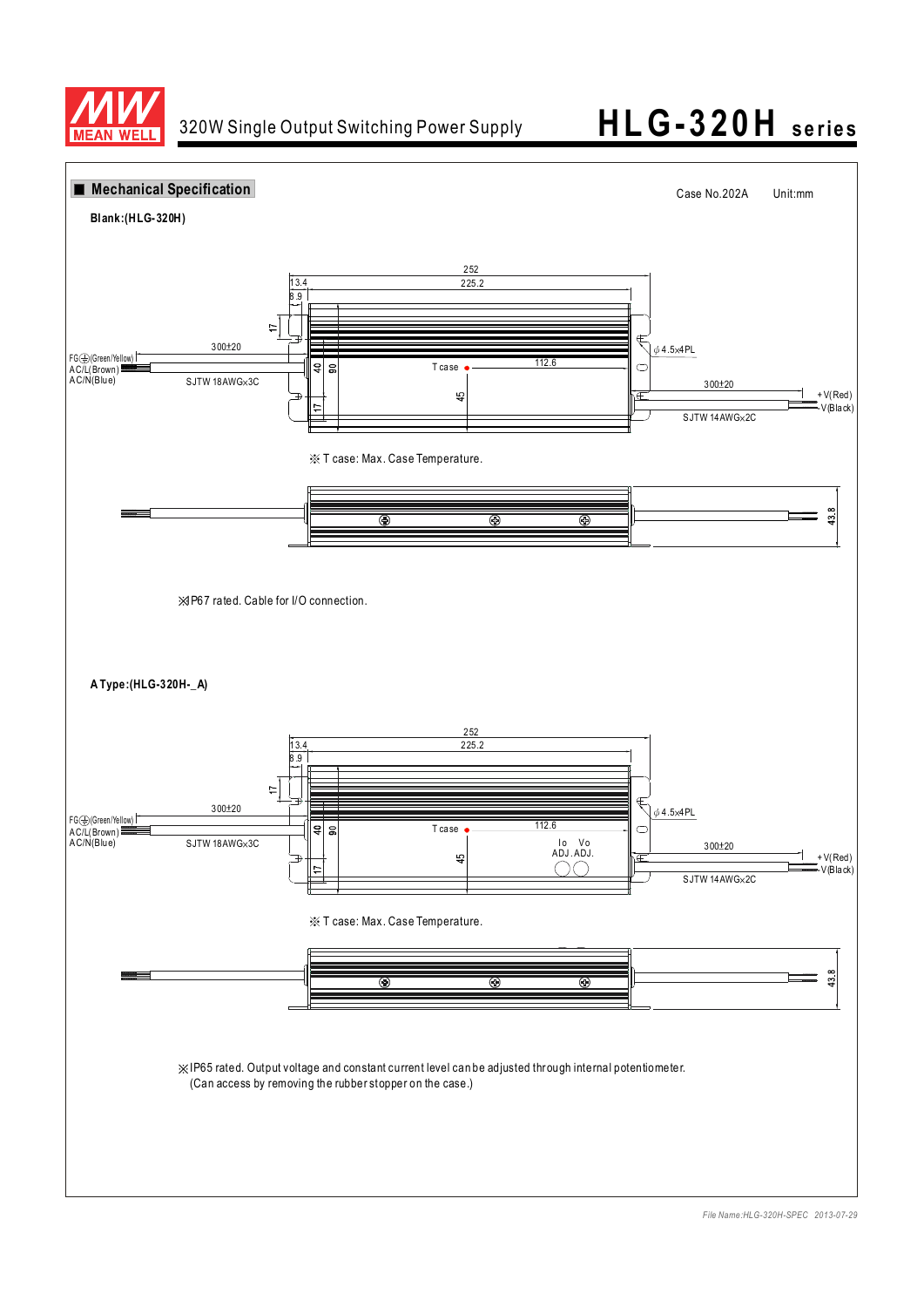

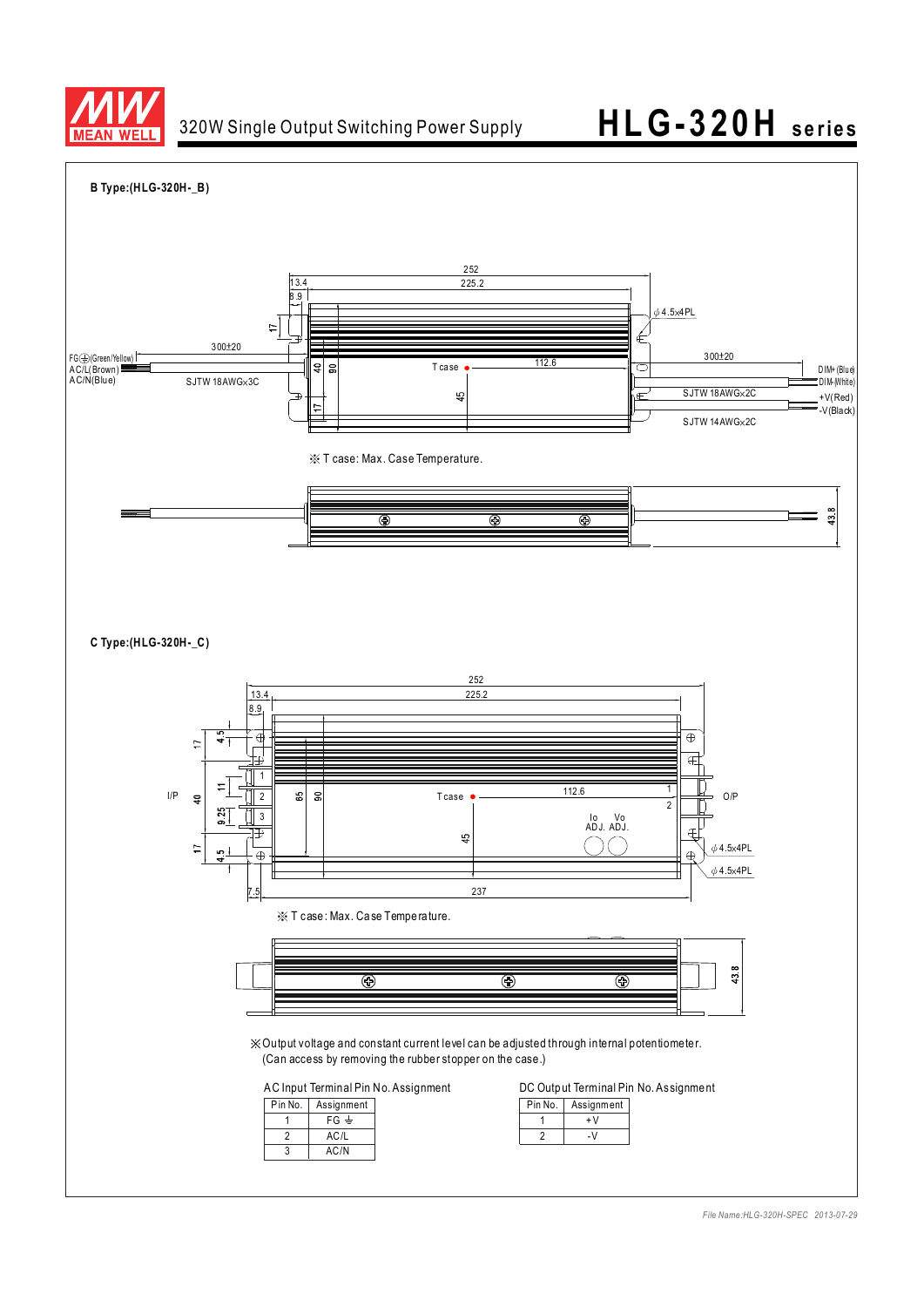

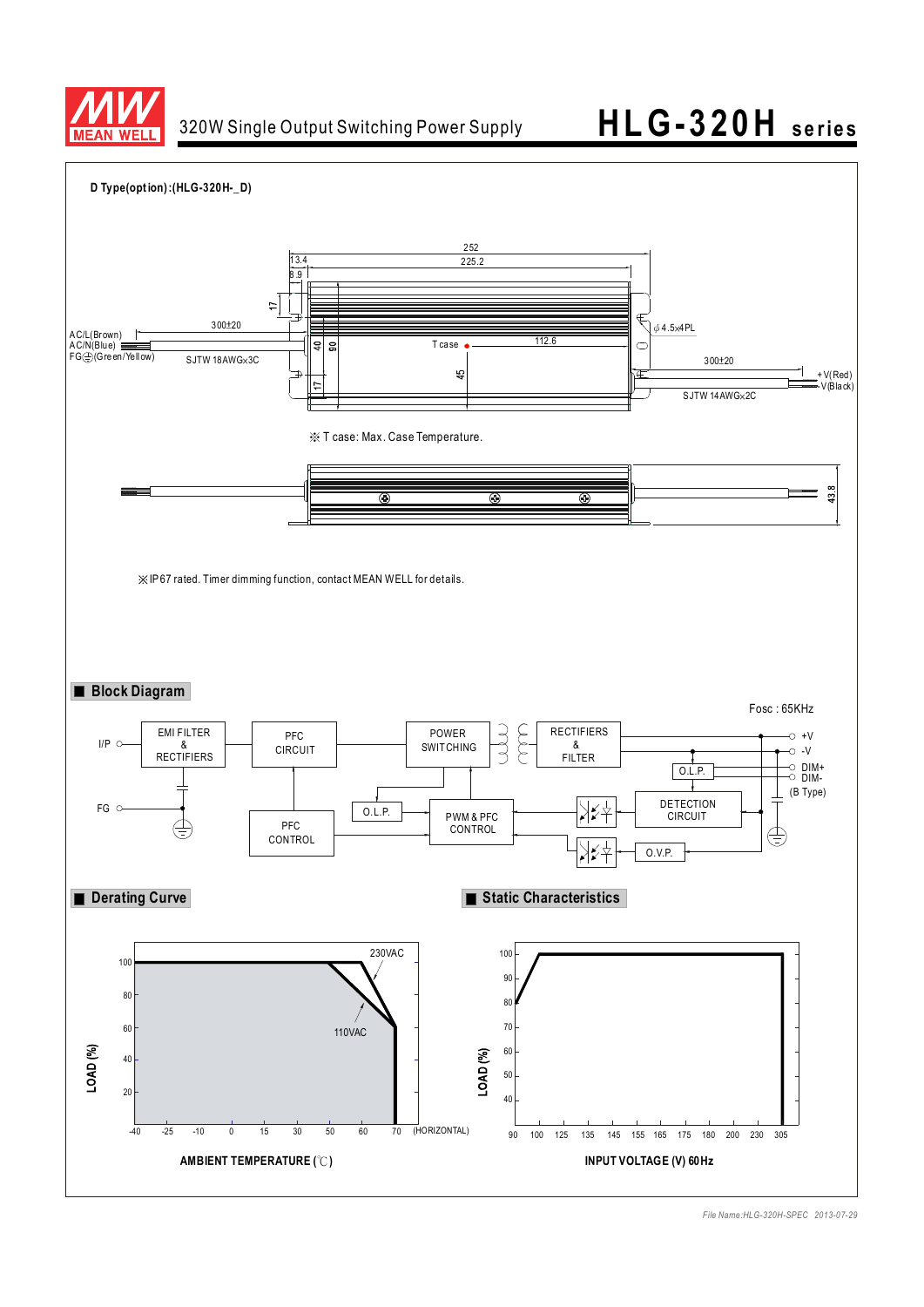

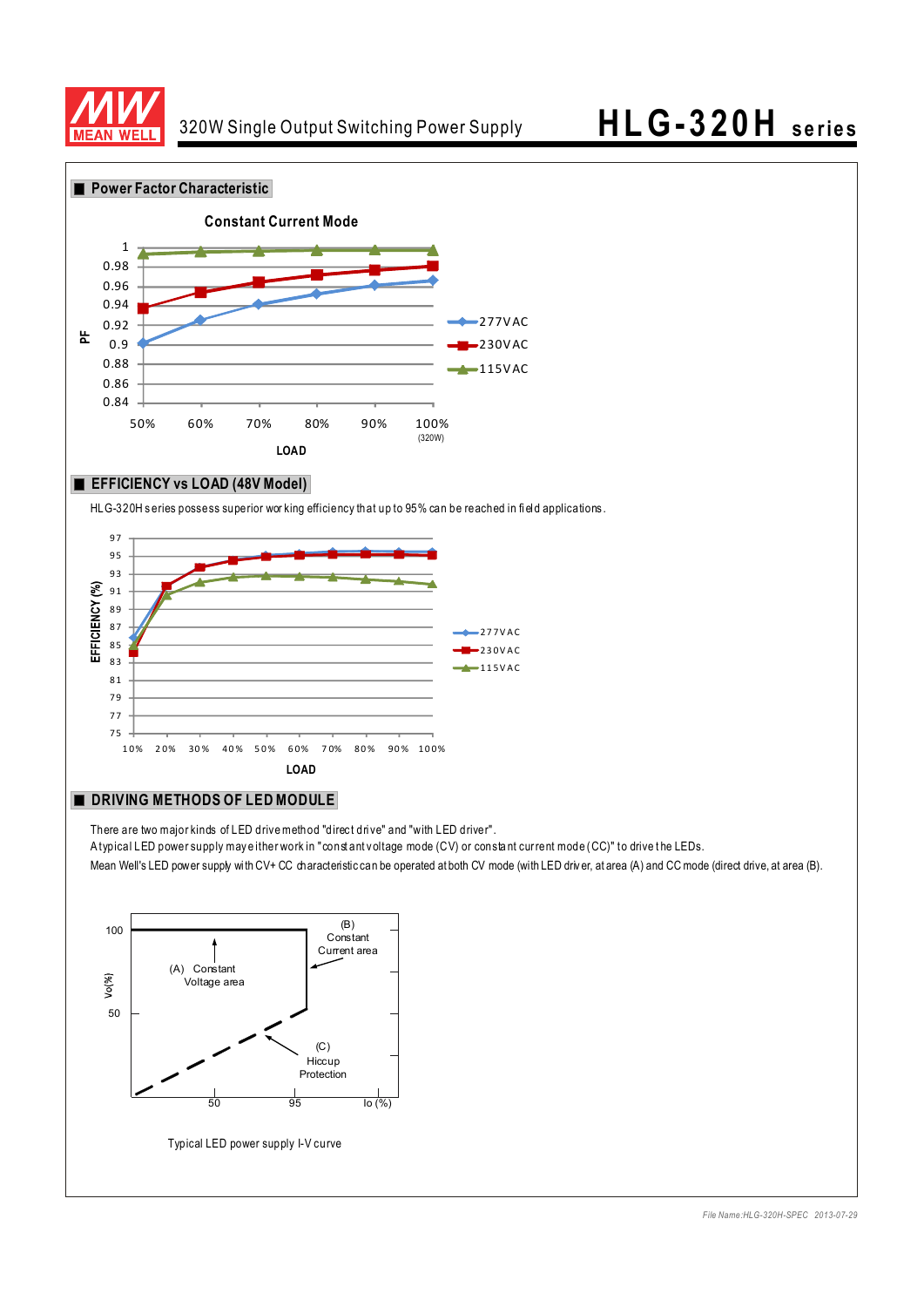



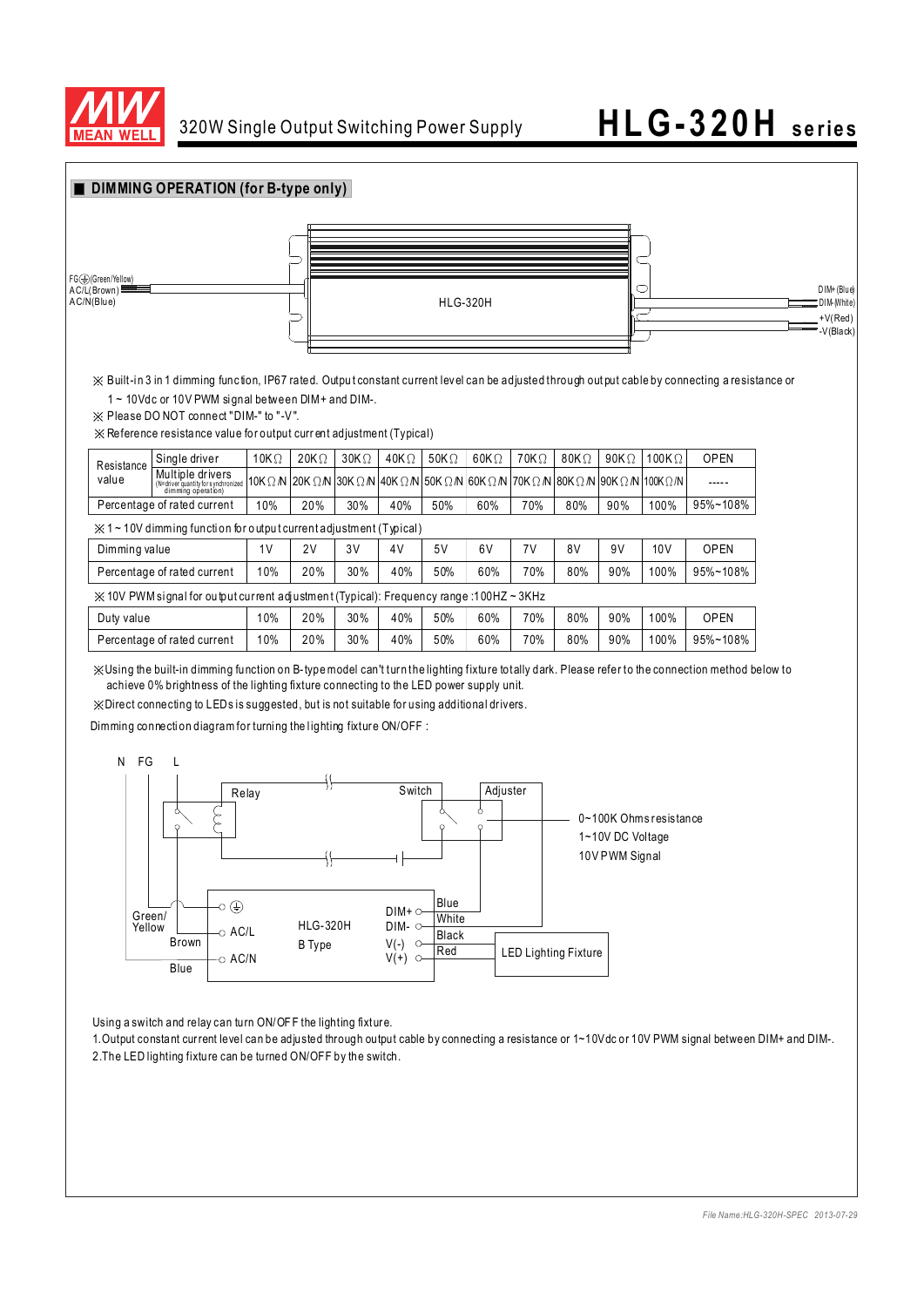



※Direct connecting to LEDs is suggested, but is not suitable for using additional dr ivers.

Dimming connection diagram for turning the lighting fixture ON/OFF :



Using a switch and relay can turn ON/OF F the lighting fixture.

1. Output constant current level can be adjusted through output cable by connecting a resistance or 1~10Vdc or 10V PWM signal between DIM+ and DIM-. 2.The LED lighting fixture can be turned ON/OFF by the switch.